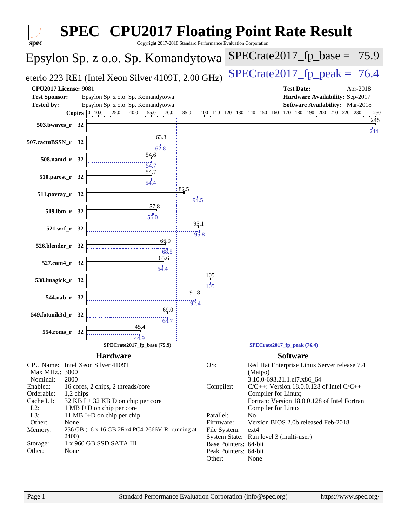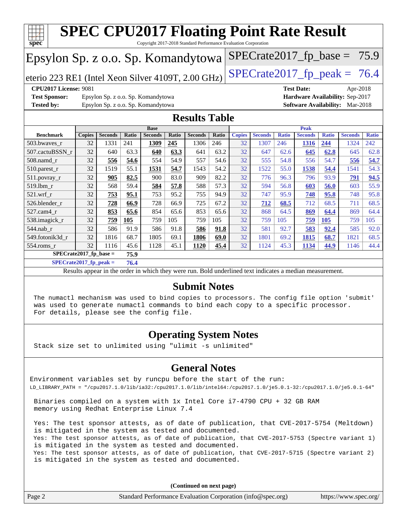

**[SPECrate2017\\_fp\\_peak =](http://www.spec.org/auto/cpu2017/Docs/result-fields.html#SPECrate2017fppeak) 76.4**

Results appear in the [order in which they were run.](http://www.spec.org/auto/cpu2017/Docs/result-fields.html#RunOrder) Bold underlined text [indicates a median measurement.](http://www.spec.org/auto/cpu2017/Docs/result-fields.html#Median)

### **[Submit Notes](http://www.spec.org/auto/cpu2017/Docs/result-fields.html#SubmitNotes)**

 The numactl mechanism was used to bind copies to processors. The config file option 'submit' was used to generate numactl commands to bind each copy to a specific processor. For details, please see the config file.

### **[Operating System Notes](http://www.spec.org/auto/cpu2017/Docs/result-fields.html#OperatingSystemNotes)**

Stack size set to unlimited using "ulimit -s unlimited"

### **[General Notes](http://www.spec.org/auto/cpu2017/Docs/result-fields.html#GeneralNotes)**

Environment variables set by runcpu before the start of the run: LD\_LIBRARY\_PATH = "/cpu2017.1.0/lib/ia32:/cpu2017.1.0/lib/intel64:/cpu2017.1.0/je5.0.1-32:/cpu2017.1.0/je5.0.1-64"

 Binaries compiled on a system with 1x Intel Core i7-4790 CPU + 32 GB RAM memory using Redhat Enterprise Linux 7.4

 Yes: The test sponsor attests, as of date of publication, that CVE-2017-5754 (Meltdown) is mitigated in the system as tested and documented. Yes: The test sponsor attests, as of date of publication, that CVE-2017-5753 (Spectre variant 1) is mitigated in the system as tested and documented. Yes: The test sponsor attests, as of date of publication, that CVE-2017-5715 (Spectre variant 2) is mitigated in the system as tested and documented.

**(Continued on next page)**

| Standard Performance Evaluation Corporation (info@spec.org)<br>Page 2<br>https://www.spec.org/ |
|------------------------------------------------------------------------------------------------|
|------------------------------------------------------------------------------------------------|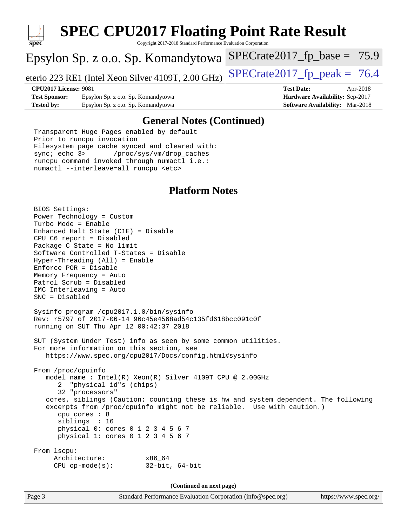

# **[SPEC CPU2017 Floating Point Rate Result](http://www.spec.org/auto/cpu2017/Docs/result-fields.html#SPECCPU2017FloatingPointRateResult)**

Copyright 2017-2018 Standard Performance Evaluation Corporation

## Epsylon Sp. z o.o. Sp. Komandytowa

eterio 223 RE1 (Intel Xeon Silver 4109T, 2.00 GHz) SPECrate  $2017$  fp peak = 76.4

 $SPECTate2017_fp\_base = 75.9$ 

**[Test Sponsor:](http://www.spec.org/auto/cpu2017/Docs/result-fields.html#TestSponsor)** Epsylon Sp. z o.o. Sp. Komandytowa **[Hardware Availability:](http://www.spec.org/auto/cpu2017/Docs/result-fields.html#HardwareAvailability)** Sep-2017 **[Tested by:](http://www.spec.org/auto/cpu2017/Docs/result-fields.html#Testedby)** Epsylon Sp. z o.o. Sp. Komandytowa **[Software Availability:](http://www.spec.org/auto/cpu2017/Docs/result-fields.html#SoftwareAvailability)** Mar-2018

**[CPU2017 License:](http://www.spec.org/auto/cpu2017/Docs/result-fields.html#CPU2017License)** 9081 **[Test Date:](http://www.spec.org/auto/cpu2017/Docs/result-fields.html#TestDate)** Apr-2018

### **[General Notes \(Continued\)](http://www.spec.org/auto/cpu2017/Docs/result-fields.html#GeneralNotes)**

 Transparent Huge Pages enabled by default Prior to runcpu invocation Filesystem page cache synced and cleared with: sync; echo 3> /proc/sys/vm/drop\_caches runcpu command invoked through numactl i.e.: numactl --interleave=all runcpu <etc>

### **[Platform Notes](http://www.spec.org/auto/cpu2017/Docs/result-fields.html#PlatformNotes)**

 BIOS Settings: Power Technology = Custom Turbo Mode = Enable Enhanced Halt State (C1E) = Disable CPU C6 report = Disabled Package C State = No limit Software Controlled T-States = Disable Hyper-Threading (All) = Enable Enforce POR = Disable Memory Frequency = Auto Patrol Scrub = Disabled IMC Interleaving = Auto SNC = Disabled Sysinfo program /cpu2017.1.0/bin/sysinfo Rev: r5797 of 2017-06-14 96c45e4568ad54c135fd618bcc091c0f running on SUT Thu Apr 12 00:42:37 2018 SUT (System Under Test) info as seen by some common utilities. For more information on this section, see <https://www.spec.org/cpu2017/Docs/config.html#sysinfo> From /proc/cpuinfo model name : Intel(R) Xeon(R) Silver 4109T CPU @ 2.00GHz 2 "physical id"s (chips) 32 "processors" cores, siblings (Caution: counting these is hw and system dependent. The following excerpts from /proc/cpuinfo might not be reliable. Use with caution.) cpu cores : 8 siblings : 16 physical 0: cores 0 1 2 3 4 5 6 7 physical 1: cores 0 1 2 3 4 5 6 7 From lscpu: Architecture: x86\_64 CPU op-mode(s): 32-bit, 64-bit

**(Continued on next page)**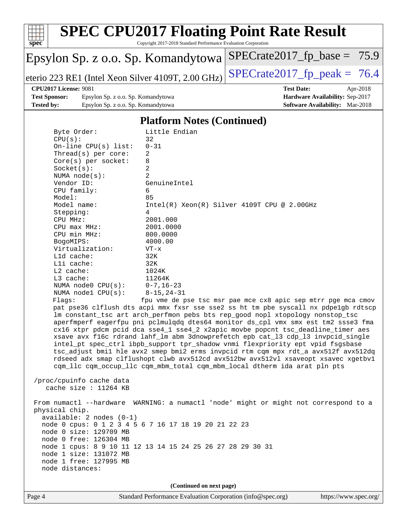

# **[SPEC CPU2017 Floating Point Rate Result](http://www.spec.org/auto/cpu2017/Docs/result-fields.html#SPECCPU2017FloatingPointRateResult)**

Copyright 2017-2018 Standard Performance Evaluation Corporation

## Epsylon Sp. z o.o. Sp. Komandytowa

eterio 223 RE1 (Intel Xeon Silver 4109T, 2.00 GHz) SPECrate  $2017$  fp\_peak = 76.4

 $SPECrate2017_fp\_base = 75.9$ 

### **[CPU2017 License:](http://www.spec.org/auto/cpu2017/Docs/result-fields.html#CPU2017License)** 9081 **[Test Date:](http://www.spec.org/auto/cpu2017/Docs/result-fields.html#TestDate)** Apr-2018

**[Test Sponsor:](http://www.spec.org/auto/cpu2017/Docs/result-fields.html#TestSponsor)** Epsylon Sp. z o.o. Sp. Komandytowa **[Hardware Availability:](http://www.spec.org/auto/cpu2017/Docs/result-fields.html#HardwareAvailability)** Sep-2017 **[Tested by:](http://www.spec.org/auto/cpu2017/Docs/result-fields.html#Testedby)** Epsylon Sp. z o.o. Sp. Komandytowa **[Software Availability:](http://www.spec.org/auto/cpu2017/Docs/result-fields.html#SoftwareAvailability)** Mar-2018

### **[Platform Notes \(Continued\)](http://www.spec.org/auto/cpu2017/Docs/result-fields.html#PlatformNotes)**

| Page 4 |                                            | Standard Performance Evaluation Corporation (info@spec.org)                          | https://www.spec.org/ |
|--------|--------------------------------------------|--------------------------------------------------------------------------------------|-----------------------|
|        |                                            | (Continued on next page)                                                             |                       |
|        |                                            |                                                                                      |                       |
|        | node distances:                            |                                                                                      |                       |
|        | node 1 free: 127995 MB                     |                                                                                      |                       |
|        | node 1 size: 131072 MB                     |                                                                                      |                       |
|        |                                            | node 1 cpus: 8 9 10 11 12 13 14 15 24 25 26 27 28 29 30 31                           |                       |
|        | node 0 free: 126304 MB                     |                                                                                      |                       |
|        | node 0 size: 129709 MB                     |                                                                                      |                       |
|        |                                            | node 0 cpus: 0 1 2 3 4 5 6 7 16 17 18 19 20 21 22 23                                 |                       |
|        | $available: 2 nodes (0-1)$                 |                                                                                      |                       |
|        | physical chip.                             |                                                                                      |                       |
|        |                                            | From numactl --hardware WARNING: a numactl 'node' might or might not correspond to a |                       |
|        |                                            |                                                                                      |                       |
|        | cache size : $11264$ KB                    |                                                                                      |                       |
|        | /proc/cpuinfo cache data                   |                                                                                      |                       |
|        |                                            | cqm_llc cqm_occup_llc cqm_mbm_total cqm_mbm_local dtherm ida arat pln pts            |                       |
|        |                                            | rdseed adx smap clflushopt clwb avx512cd avx512bw avx512vl xsaveopt xsavec xgetbvl   |                       |
|        |                                            | tsc_adjust bmil hle avx2 smep bmi2 erms invpcid rtm cqm mpx rdt_a avx512f avx512dq   |                       |
|        |                                            | intel_pt spec_ctrl ibpb_support tpr_shadow vnmi flexpriority ept vpid fsgsbase       |                       |
|        |                                            | xsave avx f16c rdrand lahf_lm abm 3dnowprefetch epb cat_13 cdp_13 invpcid_single     |                       |
|        |                                            | cx16 xtpr pdcm pcid dca sse4_1 sse4_2 x2apic movbe popcnt tsc_deadline_timer aes     |                       |
|        |                                            | aperfmperf eagerfpu pni pclmulqdq dtes64 monitor ds_cpl vmx smx est tm2 ssse3 fma    |                       |
|        |                                            | lm constant_tsc art arch_perfmon pebs bts rep_good nopl xtopology nonstop_tsc        |                       |
|        |                                            | pat pse36 clflush dts acpi mmx fxsr sse sse2 ss ht tm pbe syscall nx pdpelgb rdtscp  |                       |
|        | Flags:                                     | fpu vme de pse tsc msr pae mce cx8 apic sep mtrr pge mca cmov                        |                       |
|        | NUMA nodel CPU(s):                         | $8 - 15, 24 - 31$                                                                    |                       |
|        | NUMA node0 CPU(s):                         | $0 - 7$ , 16-23                                                                      |                       |
|        | L3 cache:                                  | 11264K                                                                               |                       |
|        | $L2$ cache:                                | 1024K                                                                                |                       |
|        | Lli cache:                                 | 32K                                                                                  |                       |
|        | L1d cache:                                 | 32K                                                                                  |                       |
|        | Virtualization:                            | $VT - x$                                                                             |                       |
|        | BogoMIPS:                                  | 4000.00                                                                              |                       |
|        | CPU min MHz:                               | 800.0000                                                                             |                       |
|        | $CPU$ max $MHz$ :                          | 2001.0000                                                                            |                       |
|        | CPU MHz:                                   | 2001.000                                                                             |                       |
|        | Stepping:                                  | 4                                                                                    |                       |
|        | Model name:                                | $Intel(R) Xeon(R) Silver 4109T CPU @ 2.00GHz$                                        |                       |
|        | Model:                                     | 85                                                                                   |                       |
|        | CPU family:                                | 6                                                                                    |                       |
|        | Vendor ID:                                 | GenuineIntel                                                                         |                       |
|        | NUMA $node(s)$ :                           | 2                                                                                    |                       |
|        | Socket(s):                                 | $\overline{a}$                                                                       |                       |
|        | Thread(s) per core:<br>Core(s) per socket: | 8                                                                                    |                       |
|        | On-line $CPU(s)$ list:                     | $0 - 31$<br>2                                                                        |                       |
|        | CPU(s):                                    | 32                                                                                   |                       |
|        | Byte Order:                                | Little Endian                                                                        |                       |
|        |                                            |                                                                                      |                       |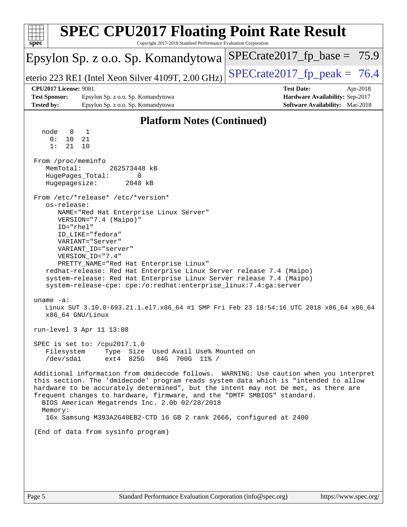| <b>SPEC CPU2017 Floating Point Rate Result</b><br>spec<br>Copyright 2017-2018 Standard Performance Evaluation Corporation                                     |                                                                                                                                                                                                                                                                                                                                                                             |                                                                                                     |  |  |  |  |  |
|---------------------------------------------------------------------------------------------------------------------------------------------------------------|-----------------------------------------------------------------------------------------------------------------------------------------------------------------------------------------------------------------------------------------------------------------------------------------------------------------------------------------------------------------------------|-----------------------------------------------------------------------------------------------------|--|--|--|--|--|
|                                                                                                                                                               | Epsylon Sp. z o.o. Sp. Komandytowa                                                                                                                                                                                                                                                                                                                                          | $SPECrate2017_fp\_base = 75.9$                                                                      |  |  |  |  |  |
|                                                                                                                                                               | eterio 223 RE1 (Intel Xeon Silver 4109T, 2.00 GHz)                                                                                                                                                                                                                                                                                                                          | $SPECrate2017_fp\_peak = 76.4$                                                                      |  |  |  |  |  |
| <b>CPU2017 License: 9081</b><br><b>Test Sponsor:</b><br><b>Tested by:</b>                                                                                     | Epsylon Sp. z o.o. Sp. Komandytowa<br>Epsylon Sp. z o.o. Sp. Komandytowa                                                                                                                                                                                                                                                                                                    | <b>Test Date:</b><br>Apr-2018<br>Hardware Availability: Sep-2017<br>Software Availability: Mar-2018 |  |  |  |  |  |
|                                                                                                                                                               | <b>Platform Notes (Continued)</b>                                                                                                                                                                                                                                                                                                                                           |                                                                                                     |  |  |  |  |  |
| node<br>0<br>0:<br>10<br>1:<br>21<br>From /proc/meminfo<br>MemTotal:<br>Hugepagesize:<br>os-release:<br>ID="rhel"                                             | 1<br>21<br>10<br>262573448 kB<br>HugePages_Total:<br>0<br>2048 kB<br>From /etc/*release* /etc/*version*<br>NAME="Red Hat Enterprise Linux Server"<br>VERSION="7.4 (Maipo)"<br>ID_LIKE="fedora"<br>VARIANT="Server"<br>VARIANT_ID="server"<br>VERSION_ID="7.4"                                                                                                               |                                                                                                     |  |  |  |  |  |
| uname $-a$ :                                                                                                                                                  | PRETTY_NAME="Red Hat Enterprise Linux"<br>redhat-release: Red Hat Enterprise Linux Server release 7.4 (Maipo)<br>system-release: Red Hat Enterprise Linux Server release 7.4 (Maipo)<br>system-release-cpe: cpe:/o:redhat:enterprise_linux:7.4:ga:server<br>x86_64 GNU/Linux                                                                                                | Linux SUT 3.10.0-693.21.1.el7.x86_64 #1 SMP Fri Feb 23 18:54:16 UTC 2018 x86_64 x86_64              |  |  |  |  |  |
| run-level 3 Apr 11 13:08<br>SPEC is set to: /cpu2017.1.0<br>Type Size Used Avail Use% Mounted on<br>Filesystem<br>ext4 825G<br>/dev/sda1<br>84G<br>700G 11% / |                                                                                                                                                                                                                                                                                                                                                                             |                                                                                                     |  |  |  |  |  |
| Memory:                                                                                                                                                       | this section. The 'dmidecode' program reads system data which is "intended to allow<br>hardware to be accurately determined", but the intent may not be met, as there are<br>frequent changes to hardware, firmware, and the "DMTF SMBIOS" standard.<br>BIOS American Megatrends Inc. 2.0b 02/28/2018<br>16x Samsung M393A2G40EB2-CTD 16 GB 2 rank 2666, configured at 2400 | Additional information from dmidecode follows. WARNING: Use caution when you interpret              |  |  |  |  |  |
|                                                                                                                                                               | (End of data from sysinfo program)                                                                                                                                                                                                                                                                                                                                          |                                                                                                     |  |  |  |  |  |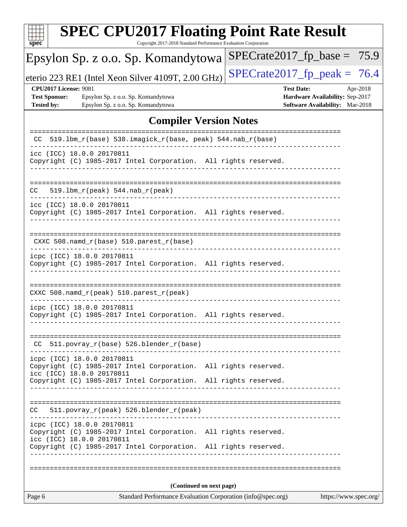| $spec^*$                 |                                                      | <b>SPEC CPU2017 Floating Point Rate Result</b>                                                                                                                                                |  | Copyright 2017-2018 Standard Performance Evaluation Corporation |  |  |  |                        |                                                                    |          |
|--------------------------|------------------------------------------------------|-----------------------------------------------------------------------------------------------------------------------------------------------------------------------------------------------|--|-----------------------------------------------------------------|--|--|--|------------------------|--------------------------------------------------------------------|----------|
|                          |                                                      | Epsylon Sp. z o.o. Sp. Komandytowa                                                                                                                                                            |  |                                                                 |  |  |  |                        | $SPECrate2017_fp\_base = 75.9$                                     |          |
|                          |                                                      | eterio 223 RE1 (Intel Xeon Silver 4109T, 2.00 GHz)                                                                                                                                            |  |                                                                 |  |  |  |                        | $SPECrate2017_fp\_peak = 76.4$                                     |          |
| <b>Tested by:</b>        | <b>CPU2017 License: 9081</b><br><b>Test Sponsor:</b> | Epsylon Sp. z o.o. Sp. Komandytowa<br>Epsylon Sp. z o.o. Sp. Komandytowa                                                                                                                      |  |                                                                 |  |  |  | <b>Test Date:</b>      | Hardware Availability: Sep-2017<br>Software Availability: Mar-2018 | Apr-2018 |
|                          |                                                      |                                                                                                                                                                                               |  | <b>Compiler Version Notes</b>                                   |  |  |  |                        |                                                                    |          |
| CC.                      |                                                      | 519.1bm_r(base) 538.imagick_r(base, peak) 544.nab_r(base)                                                                                                                                     |  |                                                                 |  |  |  | ====================== |                                                                    |          |
|                          |                                                      | icc (ICC) 18.0.0 20170811<br>Copyright (C) 1985-2017 Intel Corporation. All rights reserved.                                                                                                  |  |                                                                 |  |  |  |                        |                                                                    |          |
| CC.                      |                                                      | $519.1bm_r(peak) 544.nab_r(peak)$                                                                                                                                                             |  |                                                                 |  |  |  |                        |                                                                    |          |
|                          |                                                      | icc (ICC) 18.0.0 20170811<br>Copyright (C) 1985-2017 Intel Corporation. All rights reserved.                                                                                                  |  |                                                                 |  |  |  |                        |                                                                    |          |
|                          |                                                      | CXXC 508.namd_r(base) 510.parest_r(base)                                                                                                                                                      |  |                                                                 |  |  |  |                        |                                                                    |          |
|                          |                                                      | icpc (ICC) 18.0.0 20170811<br>Copyright (C) 1985-2017 Intel Corporation. All rights reserved.                                                                                                 |  |                                                                 |  |  |  |                        |                                                                    |          |
|                          |                                                      | CXXC 508.namd_r(peak) 510.parest_r(peak)                                                                                                                                                      |  |                                                                 |  |  |  |                        |                                                                    |          |
|                          |                                                      | icpc (ICC) 18.0.0 20170811<br>Copyright (C) 1985-2017 Intel Corporation. All rights reserved.                                                                                                 |  |                                                                 |  |  |  |                        |                                                                    |          |
|                          |                                                      | $CC$ 511.povray_r(base) 526.blender_r(base)                                                                                                                                                   |  | -----------------                                               |  |  |  |                        |                                                                    |          |
|                          |                                                      | icpc (ICC) 18.0.0 20170811<br>Copyright (C) 1985-2017 Intel Corporation. All rights reserved.<br>icc (ICC) 18.0.0 20170811                                                                    |  |                                                                 |  |  |  |                        |                                                                    |          |
|                          |                                                      | Copyright (C) 1985-2017 Intel Corporation. All rights reserved.                                                                                                                               |  |                                                                 |  |  |  |                        |                                                                    |          |
| CC.                      |                                                      | 511.povray_r(peak) 526.blender_r(peak)                                                                                                                                                        |  |                                                                 |  |  |  |                        |                                                                    |          |
|                          |                                                      | icpc (ICC) 18.0.0 20170811<br>Copyright (C) 1985-2017 Intel Corporation. All rights reserved.<br>icc (ICC) 18.0.0 20170811<br>Copyright (C) 1985-2017 Intel Corporation. All rights reserved. |  |                                                                 |  |  |  |                        |                                                                    |          |
|                          |                                                      |                                                                                                                                                                                               |  |                                                                 |  |  |  |                        |                                                                    |          |
| (Continued on next page) |                                                      |                                                                                                                                                                                               |  |                                                                 |  |  |  |                        |                                                                    |          |
| Page 6                   |                                                      |                                                                                                                                                                                               |  | Standard Performance Evaluation Corporation (info@spec.org)     |  |  |  |                        | https://www.spec.org/                                              |          |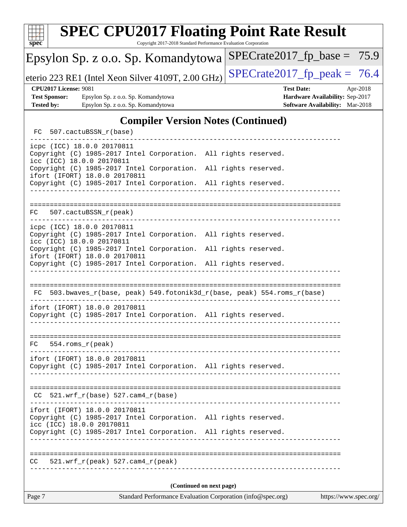| $\mathbf{Spec}^*$                                                                    |                              |                                                                          |  | <b>SPEC CPU2017 Floating Point Rate Result</b><br>Copyright 2017-2018 Standard Performance Evaluation Corporation                  |  |  |  |                   |                                                                    |          |
|--------------------------------------------------------------------------------------|------------------------------|--------------------------------------------------------------------------|--|------------------------------------------------------------------------------------------------------------------------------------|--|--|--|-------------------|--------------------------------------------------------------------|----------|
|                                                                                      |                              |                                                                          |  | Epsylon Sp. z o.o. Sp. Komandytowa                                                                                                 |  |  |  |                   | $SPECrate2017_fp\_base = 75.9$                                     |          |
| $SPECrate2017_fp\_peak = 76.4$<br>eterio 223 RE1 (Intel Xeon Silver 4109T, 2.00 GHz) |                              |                                                                          |  |                                                                                                                                    |  |  |  |                   |                                                                    |          |
| <b>Test Sponsor:</b><br><b>Tested by:</b>                                            | <b>CPU2017 License: 9081</b> | Epsylon Sp. z o.o. Sp. Komandytowa<br>Epsylon Sp. z o.o. Sp. Komandytowa |  |                                                                                                                                    |  |  |  | <b>Test Date:</b> | Hardware Availability: Sep-2017<br>Software Availability: Mar-2018 | Apr-2018 |
|                                                                                      |                              |                                                                          |  |                                                                                                                                    |  |  |  |                   |                                                                    |          |
| <b>Compiler Version Notes (Continued)</b><br>507.cactuBSSN_r(base)<br>FC.            |                              |                                                                          |  |                                                                                                                                    |  |  |  |                   |                                                                    |          |
|                                                                                      |                              | icpc (ICC) 18.0.0 20170811<br>icc (ICC) 18.0.0 20170811                  |  | Copyright (C) 1985-2017 Intel Corporation. All rights reserved.                                                                    |  |  |  |                   |                                                                    |          |
|                                                                                      |                              | ifort (IFORT) 18.0.0 20170811                                            |  | Copyright (C) 1985-2017 Intel Corporation. All rights reserved.<br>Copyright (C) 1985-2017 Intel Corporation. All rights reserved. |  |  |  |                   |                                                                    |          |
|                                                                                      |                              |                                                                          |  |                                                                                                                                    |  |  |  |                   |                                                                    |          |
| FC.                                                                                  |                              | 507.cactuBSSN_r(peak)                                                    |  |                                                                                                                                    |  |  |  |                   |                                                                    |          |
|                                                                                      |                              | icpc (ICC) 18.0.0 20170811<br>icc (ICC) 18.0.0 20170811                  |  | Copyright (C) 1985-2017 Intel Corporation. All rights reserved.                                                                    |  |  |  |                   |                                                                    |          |
|                                                                                      |                              | ifort (IFORT) 18.0.0 20170811                                            |  | Copyright (C) 1985-2017 Intel Corporation. All rights reserved.<br>Copyright (C) 1985-2017 Intel Corporation. All rights reserved. |  |  |  |                   |                                                                    |          |
|                                                                                      |                              |                                                                          |  |                                                                                                                                    |  |  |  |                   |                                                                    |          |
| FC.                                                                                  |                              |                                                                          |  | 503.bwaves_r(base, peak) 549.fotonik3d_r(base, peak) 554.roms_r(base)                                                              |  |  |  |                   |                                                                    |          |
|                                                                                      |                              | ifort (IFORT) 18.0.0 20170811                                            |  | Copyright (C) 1985-2017 Intel Corporation. All rights reserved.                                                                    |  |  |  |                   |                                                                    |          |
| FC.                                                                                  | $554.rows_r (peak)$          |                                                                          |  |                                                                                                                                    |  |  |  |                   |                                                                    |          |
|                                                                                      |                              | ifort (IFORT) 18.0.0 20170811                                            |  | Copyright (C) 1985-2017 Intel Corporation. All rights reserved.                                                                    |  |  |  |                   |                                                                    |          |
|                                                                                      |                              | $CC$ 521.wrf_r(base) 527.cam4_r(base)                                    |  |                                                                                                                                    |  |  |  |                   |                                                                    |          |
|                                                                                      |                              | ifort (IFORT) 18.0.0 20170811<br>icc (ICC) 18.0.0 20170811               |  | Copyright (C) 1985-2017 Intel Corporation. All rights reserved.<br>Copyright (C) 1985-2017 Intel Corporation. All rights reserved. |  |  |  |                   |                                                                    |          |
|                                                                                      |                              | $CC = 521.wrf_r(peak) 527.cam4_r(peak)$                                  |  |                                                                                                                                    |  |  |  |                   |                                                                    |          |
| (Continued on next page)                                                             |                              |                                                                          |  |                                                                                                                                    |  |  |  |                   |                                                                    |          |
| Page 7                                                                               |                              |                                                                          |  | Standard Performance Evaluation Corporation (info@spec.org)                                                                        |  |  |  |                   | https://www.spec.org/                                              |          |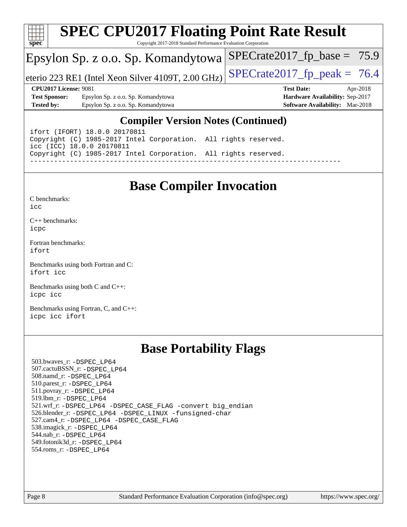

## **[SPEC CPU2017 Floating Point Rate Result](http://www.spec.org/auto/cpu2017/Docs/result-fields.html#SPECCPU2017FloatingPointRateResult)**

Copyright 2017-2018 Standard Performance Evaluation Corporation

## Epsylon Sp. z o.o. Sp. Komandytowa

eterio 223 RE1 (Intel Xeon Silver 4109T, 2.00 GHz)  $\left|$  SPECrate 2017 fp peak = 76.4

 $SPECrate2017_fp\_base = 75.9$ 

**[Test Sponsor:](http://www.spec.org/auto/cpu2017/Docs/result-fields.html#TestSponsor)** Epsylon Sp. z o.o. Sp. Komandytowa **[Hardware Availability:](http://www.spec.org/auto/cpu2017/Docs/result-fields.html#HardwareAvailability)** Sep-2017 **[Tested by:](http://www.spec.org/auto/cpu2017/Docs/result-fields.html#Testedby)** Epsylon Sp. z o.o. Sp. Komandytowa **[Software Availability:](http://www.spec.org/auto/cpu2017/Docs/result-fields.html#SoftwareAvailability)** Mar-2018

**[CPU2017 License:](http://www.spec.org/auto/cpu2017/Docs/result-fields.html#CPU2017License)** 9081 **[Test Date:](http://www.spec.org/auto/cpu2017/Docs/result-fields.html#TestDate)** Apr-2018

### **[Compiler Version Notes \(Continued\)](http://www.spec.org/auto/cpu2017/Docs/result-fields.html#CompilerVersionNotes)**

ifort (IFORT) 18.0.0 20170811 Copyright (C) 1985-2017 Intel Corporation. All rights reserved. icc (ICC) 18.0.0 20170811 Copyright (C) 1985-2017 Intel Corporation. All rights reserved. ------------------------------------------------------------------------------

## **[Base Compiler Invocation](http://www.spec.org/auto/cpu2017/Docs/result-fields.html#BaseCompilerInvocation)**

[C benchmarks](http://www.spec.org/auto/cpu2017/Docs/result-fields.html#Cbenchmarks):  $i$ cc

[C++ benchmarks:](http://www.spec.org/auto/cpu2017/Docs/result-fields.html#CXXbenchmarks) [icpc](http://www.spec.org/cpu2017/results/res2018q2/cpu2017-20180416-04919.flags.html#user_CXXbase_intel_icpc_18.0_c510b6838c7f56d33e37e94d029a35b4a7bccf4766a728ee175e80a419847e808290a9b78be685c44ab727ea267ec2f070ec5dc83b407c0218cded6866a35d07)

[Fortran benchmarks](http://www.spec.org/auto/cpu2017/Docs/result-fields.html#Fortranbenchmarks): [ifort](http://www.spec.org/cpu2017/results/res2018q2/cpu2017-20180416-04919.flags.html#user_FCbase_intel_ifort_18.0_8111460550e3ca792625aed983ce982f94888b8b503583aa7ba2b8303487b4d8a21a13e7191a45c5fd58ff318f48f9492884d4413fa793fd88dd292cad7027ca)

[Benchmarks using both Fortran and C](http://www.spec.org/auto/cpu2017/Docs/result-fields.html#BenchmarksusingbothFortranandC): [ifort](http://www.spec.org/cpu2017/results/res2018q2/cpu2017-20180416-04919.flags.html#user_CC_FCbase_intel_ifort_18.0_8111460550e3ca792625aed983ce982f94888b8b503583aa7ba2b8303487b4d8a21a13e7191a45c5fd58ff318f48f9492884d4413fa793fd88dd292cad7027ca) [icc](http://www.spec.org/cpu2017/results/res2018q2/cpu2017-20180416-04919.flags.html#user_CC_FCbase_intel_icc_18.0_66fc1ee009f7361af1fbd72ca7dcefbb700085f36577c54f309893dd4ec40d12360134090235512931783d35fd58c0460139e722d5067c5574d8eaf2b3e37e92)

[Benchmarks using both C and C++](http://www.spec.org/auto/cpu2017/Docs/result-fields.html#BenchmarksusingbothCandCXX): [icpc](http://www.spec.org/cpu2017/results/res2018q2/cpu2017-20180416-04919.flags.html#user_CC_CXXbase_intel_icpc_18.0_c510b6838c7f56d33e37e94d029a35b4a7bccf4766a728ee175e80a419847e808290a9b78be685c44ab727ea267ec2f070ec5dc83b407c0218cded6866a35d07) [icc](http://www.spec.org/cpu2017/results/res2018q2/cpu2017-20180416-04919.flags.html#user_CC_CXXbase_intel_icc_18.0_66fc1ee009f7361af1fbd72ca7dcefbb700085f36577c54f309893dd4ec40d12360134090235512931783d35fd58c0460139e722d5067c5574d8eaf2b3e37e92)

[Benchmarks using Fortran, C, and C++:](http://www.spec.org/auto/cpu2017/Docs/result-fields.html#BenchmarksusingFortranCandCXX) [icpc](http://www.spec.org/cpu2017/results/res2018q2/cpu2017-20180416-04919.flags.html#user_CC_CXX_FCbase_intel_icpc_18.0_c510b6838c7f56d33e37e94d029a35b4a7bccf4766a728ee175e80a419847e808290a9b78be685c44ab727ea267ec2f070ec5dc83b407c0218cded6866a35d07) [icc](http://www.spec.org/cpu2017/results/res2018q2/cpu2017-20180416-04919.flags.html#user_CC_CXX_FCbase_intel_icc_18.0_66fc1ee009f7361af1fbd72ca7dcefbb700085f36577c54f309893dd4ec40d12360134090235512931783d35fd58c0460139e722d5067c5574d8eaf2b3e37e92) [ifort](http://www.spec.org/cpu2017/results/res2018q2/cpu2017-20180416-04919.flags.html#user_CC_CXX_FCbase_intel_ifort_18.0_8111460550e3ca792625aed983ce982f94888b8b503583aa7ba2b8303487b4d8a21a13e7191a45c5fd58ff318f48f9492884d4413fa793fd88dd292cad7027ca)

## **[Base Portability Flags](http://www.spec.org/auto/cpu2017/Docs/result-fields.html#BasePortabilityFlags)**

 503.bwaves\_r: [-DSPEC\\_LP64](http://www.spec.org/cpu2017/results/res2018q2/cpu2017-20180416-04919.flags.html#suite_basePORTABILITY503_bwaves_r_DSPEC_LP64) 507.cactuBSSN\_r: [-DSPEC\\_LP64](http://www.spec.org/cpu2017/results/res2018q2/cpu2017-20180416-04919.flags.html#suite_basePORTABILITY507_cactuBSSN_r_DSPEC_LP64) 508.namd\_r: [-DSPEC\\_LP64](http://www.spec.org/cpu2017/results/res2018q2/cpu2017-20180416-04919.flags.html#suite_basePORTABILITY508_namd_r_DSPEC_LP64) 510.parest\_r: [-DSPEC\\_LP64](http://www.spec.org/cpu2017/results/res2018q2/cpu2017-20180416-04919.flags.html#suite_basePORTABILITY510_parest_r_DSPEC_LP64) 511.povray\_r: [-DSPEC\\_LP64](http://www.spec.org/cpu2017/results/res2018q2/cpu2017-20180416-04919.flags.html#suite_basePORTABILITY511_povray_r_DSPEC_LP64) 519.lbm\_r: [-DSPEC\\_LP64](http://www.spec.org/cpu2017/results/res2018q2/cpu2017-20180416-04919.flags.html#suite_basePORTABILITY519_lbm_r_DSPEC_LP64) 521.wrf\_r: [-DSPEC\\_LP64](http://www.spec.org/cpu2017/results/res2018q2/cpu2017-20180416-04919.flags.html#suite_basePORTABILITY521_wrf_r_DSPEC_LP64) [-DSPEC\\_CASE\\_FLAG](http://www.spec.org/cpu2017/results/res2018q2/cpu2017-20180416-04919.flags.html#b521.wrf_r_baseCPORTABILITY_DSPEC_CASE_FLAG) [-convert big\\_endian](http://www.spec.org/cpu2017/results/res2018q2/cpu2017-20180416-04919.flags.html#user_baseFPORTABILITY521_wrf_r_convert_big_endian_c3194028bc08c63ac5d04de18c48ce6d347e4e562e8892b8bdbdc0214820426deb8554edfa529a3fb25a586e65a3d812c835984020483e7e73212c4d31a38223) 526.blender\_r: [-DSPEC\\_LP64](http://www.spec.org/cpu2017/results/res2018q2/cpu2017-20180416-04919.flags.html#suite_basePORTABILITY526_blender_r_DSPEC_LP64) [-DSPEC\\_LINUX](http://www.spec.org/cpu2017/results/res2018q2/cpu2017-20180416-04919.flags.html#b526.blender_r_baseCPORTABILITY_DSPEC_LINUX) [-funsigned-char](http://www.spec.org/cpu2017/results/res2018q2/cpu2017-20180416-04919.flags.html#user_baseCPORTABILITY526_blender_r_force_uchar_40c60f00ab013830e2dd6774aeded3ff59883ba5a1fc5fc14077f794d777847726e2a5858cbc7672e36e1b067e7e5c1d9a74f7176df07886a243d7cc18edfe67) 527.cam4\_r: [-DSPEC\\_LP64](http://www.spec.org/cpu2017/results/res2018q2/cpu2017-20180416-04919.flags.html#suite_basePORTABILITY527_cam4_r_DSPEC_LP64) [-DSPEC\\_CASE\\_FLAG](http://www.spec.org/cpu2017/results/res2018q2/cpu2017-20180416-04919.flags.html#b527.cam4_r_baseCPORTABILITY_DSPEC_CASE_FLAG) 538.imagick\_r: [-DSPEC\\_LP64](http://www.spec.org/cpu2017/results/res2018q2/cpu2017-20180416-04919.flags.html#suite_basePORTABILITY538_imagick_r_DSPEC_LP64) 544.nab\_r: [-DSPEC\\_LP64](http://www.spec.org/cpu2017/results/res2018q2/cpu2017-20180416-04919.flags.html#suite_basePORTABILITY544_nab_r_DSPEC_LP64) 549.fotonik3d\_r: [-DSPEC\\_LP64](http://www.spec.org/cpu2017/results/res2018q2/cpu2017-20180416-04919.flags.html#suite_basePORTABILITY549_fotonik3d_r_DSPEC_LP64) 554.roms\_r: [-DSPEC\\_LP64](http://www.spec.org/cpu2017/results/res2018q2/cpu2017-20180416-04919.flags.html#suite_basePORTABILITY554_roms_r_DSPEC_LP64)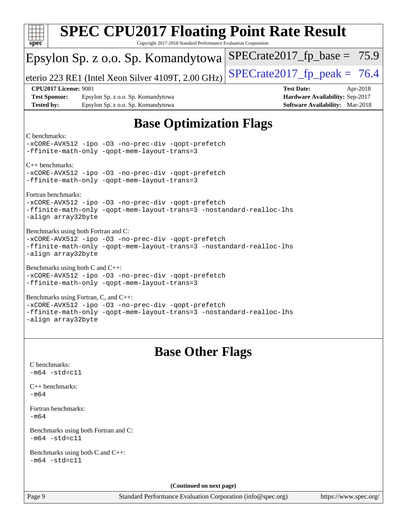| <b>SPEC CPU2017 Floating Point Rate Result</b>                                                                                                                                           |                                                                           |  |  |  |  |  |
|------------------------------------------------------------------------------------------------------------------------------------------------------------------------------------------|---------------------------------------------------------------------------|--|--|--|--|--|
| Copyright 2017-2018 Standard Performance Evaluation Corporation<br>$spec^*$                                                                                                              |                                                                           |  |  |  |  |  |
| Epsylon Sp. z o.o. Sp. Komandytowa                                                                                                                                                       | $SPECrate2017_fp\_base = 75.9$                                            |  |  |  |  |  |
| eterio 223 RE1 (Intel Xeon Silver 4109T, 2.00 GHz)                                                                                                                                       | $SPECTate2017$ _fp_peak = 76.4                                            |  |  |  |  |  |
| <b>CPU2017 License: 9081</b>                                                                                                                                                             | <b>Test Date:</b><br>Apr-2018                                             |  |  |  |  |  |
| <b>Test Sponsor:</b><br>Epsylon Sp. z o.o. Sp. Komandytowa<br><b>Tested by:</b><br>Epsylon Sp. z o.o. Sp. Komandytowa                                                                    | Hardware Availability: Sep-2017<br><b>Software Availability:</b> Mar-2018 |  |  |  |  |  |
|                                                                                                                                                                                          |                                                                           |  |  |  |  |  |
| <b>Base Optimization Flags</b>                                                                                                                                                           |                                                                           |  |  |  |  |  |
| C benchmarks:<br>-xCORE-AVX512 -ipo -03 -no-prec-div -qopt-prefetch<br>-ffinite-math-only -qopt-mem-layout-trans=3                                                                       |                                                                           |  |  |  |  |  |
| $C_{++}$ benchmarks:                                                                                                                                                                     |                                                                           |  |  |  |  |  |
| -xCORE-AVX512 -ipo -03 -no-prec-div -qopt-prefetch<br>-ffinite-math-only -gopt-mem-layout-trans=3                                                                                        |                                                                           |  |  |  |  |  |
| Fortran benchmarks:<br>-xCORE-AVX512 -ipo -03 -no-prec-div -qopt-prefetch<br>-ffinite-math-only -qopt-mem-layout-trans=3 -nostandard-realloc-lhs<br>-align array32byte                   |                                                                           |  |  |  |  |  |
| Benchmarks using both Fortran and C:<br>-xCORE-AVX512 -ipo -03 -no-prec-div -qopt-prefetch<br>-ffinite-math-only -qopt-mem-layout-trans=3 -nostandard-realloc-lhs<br>-align array32byte  |                                                                           |  |  |  |  |  |
| Benchmarks using both C and C++:<br>-xCORE-AVX512 -ipo -03 -no-prec-div -qopt-prefetch<br>-ffinite-math-only -qopt-mem-layout-trans=3                                                    |                                                                           |  |  |  |  |  |
| Benchmarks using Fortran, C, and C++:<br>-xCORE-AVX512 -ipo -03 -no-prec-div -qopt-prefetch<br>-ffinite-math-only -qopt-mem-layout-trans=3 -nostandard-realloc-lhs<br>-align array32byte |                                                                           |  |  |  |  |  |
| <b>Base Other Flags</b>                                                                                                                                                                  |                                                                           |  |  |  |  |  |
| C benchmarks:                                                                                                                                                                            |                                                                           |  |  |  |  |  |
| $-m64 - std= c11$                                                                                                                                                                        |                                                                           |  |  |  |  |  |
| $C++$ benchmarks:<br>$-m64$                                                                                                                                                              |                                                                           |  |  |  |  |  |
| Fortran benchmarks:<br>$-m64$                                                                                                                                                            |                                                                           |  |  |  |  |  |
| Benchmarks using both Fortran and C:<br>$-m64 - std= c11$                                                                                                                                |                                                                           |  |  |  |  |  |
| Benchmarks using both C and C++:<br>$-m64 - std= c11$                                                                                                                                    |                                                                           |  |  |  |  |  |
| (Continued on next page)                                                                                                                                                                 |                                                                           |  |  |  |  |  |
| Page 9<br>Standard Performance Evaluation Corporation (info@spec.org)                                                                                                                    | https://www.spec.org/                                                     |  |  |  |  |  |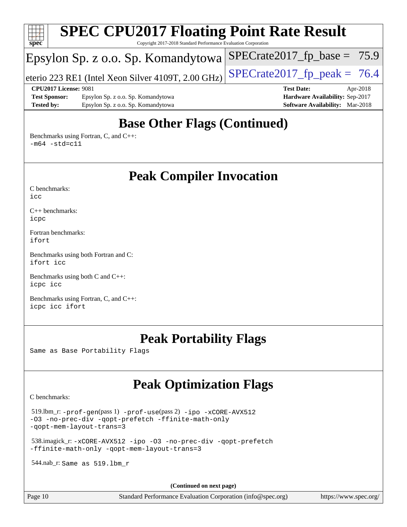

## **[Base Other Flags \(Continued\)](http://www.spec.org/auto/cpu2017/Docs/result-fields.html#BaseOtherFlags)**

[Benchmarks using Fortran, C, and C++:](http://www.spec.org/auto/cpu2017/Docs/result-fields.html#BenchmarksusingFortranCandCXX)  $-m64$   $-std=cl1$ 

**[Peak Compiler Invocation](http://www.spec.org/auto/cpu2017/Docs/result-fields.html#PeakCompilerInvocation)**

[C benchmarks](http://www.spec.org/auto/cpu2017/Docs/result-fields.html#Cbenchmarks):  $i$ cc

[C++ benchmarks:](http://www.spec.org/auto/cpu2017/Docs/result-fields.html#CXXbenchmarks) [icpc](http://www.spec.org/cpu2017/results/res2018q2/cpu2017-20180416-04919.flags.html#user_CXXpeak_intel_icpc_18.0_c510b6838c7f56d33e37e94d029a35b4a7bccf4766a728ee175e80a419847e808290a9b78be685c44ab727ea267ec2f070ec5dc83b407c0218cded6866a35d07)

[Fortran benchmarks](http://www.spec.org/auto/cpu2017/Docs/result-fields.html#Fortranbenchmarks): [ifort](http://www.spec.org/cpu2017/results/res2018q2/cpu2017-20180416-04919.flags.html#user_FCpeak_intel_ifort_18.0_8111460550e3ca792625aed983ce982f94888b8b503583aa7ba2b8303487b4d8a21a13e7191a45c5fd58ff318f48f9492884d4413fa793fd88dd292cad7027ca)

[Benchmarks using both Fortran and C](http://www.spec.org/auto/cpu2017/Docs/result-fields.html#BenchmarksusingbothFortranandC): [ifort](http://www.spec.org/cpu2017/results/res2018q2/cpu2017-20180416-04919.flags.html#user_CC_FCpeak_intel_ifort_18.0_8111460550e3ca792625aed983ce982f94888b8b503583aa7ba2b8303487b4d8a21a13e7191a45c5fd58ff318f48f9492884d4413fa793fd88dd292cad7027ca) [icc](http://www.spec.org/cpu2017/results/res2018q2/cpu2017-20180416-04919.flags.html#user_CC_FCpeak_intel_icc_18.0_66fc1ee009f7361af1fbd72ca7dcefbb700085f36577c54f309893dd4ec40d12360134090235512931783d35fd58c0460139e722d5067c5574d8eaf2b3e37e92)

[Benchmarks using both C and C++](http://www.spec.org/auto/cpu2017/Docs/result-fields.html#BenchmarksusingbothCandCXX): [icpc](http://www.spec.org/cpu2017/results/res2018q2/cpu2017-20180416-04919.flags.html#user_CC_CXXpeak_intel_icpc_18.0_c510b6838c7f56d33e37e94d029a35b4a7bccf4766a728ee175e80a419847e808290a9b78be685c44ab727ea267ec2f070ec5dc83b407c0218cded6866a35d07) [icc](http://www.spec.org/cpu2017/results/res2018q2/cpu2017-20180416-04919.flags.html#user_CC_CXXpeak_intel_icc_18.0_66fc1ee009f7361af1fbd72ca7dcefbb700085f36577c54f309893dd4ec40d12360134090235512931783d35fd58c0460139e722d5067c5574d8eaf2b3e37e92)

[Benchmarks using Fortran, C, and C++:](http://www.spec.org/auto/cpu2017/Docs/result-fields.html#BenchmarksusingFortranCandCXX) [icpc](http://www.spec.org/cpu2017/results/res2018q2/cpu2017-20180416-04919.flags.html#user_CC_CXX_FCpeak_intel_icpc_18.0_c510b6838c7f56d33e37e94d029a35b4a7bccf4766a728ee175e80a419847e808290a9b78be685c44ab727ea267ec2f070ec5dc83b407c0218cded6866a35d07) [icc](http://www.spec.org/cpu2017/results/res2018q2/cpu2017-20180416-04919.flags.html#user_CC_CXX_FCpeak_intel_icc_18.0_66fc1ee009f7361af1fbd72ca7dcefbb700085f36577c54f309893dd4ec40d12360134090235512931783d35fd58c0460139e722d5067c5574d8eaf2b3e37e92) [ifort](http://www.spec.org/cpu2017/results/res2018q2/cpu2017-20180416-04919.flags.html#user_CC_CXX_FCpeak_intel_ifort_18.0_8111460550e3ca792625aed983ce982f94888b8b503583aa7ba2b8303487b4d8a21a13e7191a45c5fd58ff318f48f9492884d4413fa793fd88dd292cad7027ca)

## **[Peak Portability Flags](http://www.spec.org/auto/cpu2017/Docs/result-fields.html#PeakPortabilityFlags)**

Same as Base Portability Flags

## **[Peak Optimization Flags](http://www.spec.org/auto/cpu2017/Docs/result-fields.html#PeakOptimizationFlags)**

[C benchmarks](http://www.spec.org/auto/cpu2017/Docs/result-fields.html#Cbenchmarks):

 519.lbm\_r: [-prof-gen](http://www.spec.org/cpu2017/results/res2018q2/cpu2017-20180416-04919.flags.html#user_peakPASS1_CFLAGSPASS1_LDFLAGS519_lbm_r_prof_gen_5aa4926d6013ddb2a31985c654b3eb18169fc0c6952a63635c234f711e6e63dd76e94ad52365559451ec499a2cdb89e4dc58ba4c67ef54ca681ffbe1461d6b36)(pass 1) [-prof-use](http://www.spec.org/cpu2017/results/res2018q2/cpu2017-20180416-04919.flags.html#user_peakPASS2_CFLAGSPASS2_LDFLAGS519_lbm_r_prof_use_1a21ceae95f36a2b53c25747139a6c16ca95bd9def2a207b4f0849963b97e94f5260e30a0c64f4bb623698870e679ca08317ef8150905d41bd88c6f78df73f19)(pass 2) [-ipo](http://www.spec.org/cpu2017/results/res2018q2/cpu2017-20180416-04919.flags.html#user_peakPASS1_COPTIMIZEPASS2_COPTIMIZE519_lbm_r_f-ipo) [-xCORE-AVX512](http://www.spec.org/cpu2017/results/res2018q2/cpu2017-20180416-04919.flags.html#user_peakPASS2_COPTIMIZE519_lbm_r_f-xCORE-AVX512) [-O3](http://www.spec.org/cpu2017/results/res2018q2/cpu2017-20180416-04919.flags.html#user_peakPASS1_COPTIMIZEPASS2_COPTIMIZE519_lbm_r_f-O3) [-no-prec-div](http://www.spec.org/cpu2017/results/res2018q2/cpu2017-20180416-04919.flags.html#user_peakPASS1_COPTIMIZEPASS2_COPTIMIZE519_lbm_r_f-no-prec-div) [-qopt-prefetch](http://www.spec.org/cpu2017/results/res2018q2/cpu2017-20180416-04919.flags.html#user_peakPASS1_COPTIMIZEPASS2_COPTIMIZE519_lbm_r_f-qopt-prefetch) [-ffinite-math-only](http://www.spec.org/cpu2017/results/res2018q2/cpu2017-20180416-04919.flags.html#user_peakPASS1_COPTIMIZEPASS2_COPTIMIZE519_lbm_r_f_finite_math_only_cb91587bd2077682c4b38af759c288ed7c732db004271a9512da14a4f8007909a5f1427ecbf1a0fb78ff2a814402c6114ac565ca162485bbcae155b5e4258871) [-qopt-mem-layout-trans=3](http://www.spec.org/cpu2017/results/res2018q2/cpu2017-20180416-04919.flags.html#user_peakPASS1_COPTIMIZEPASS2_COPTIMIZE519_lbm_r_f-qopt-mem-layout-trans_de80db37974c74b1f0e20d883f0b675c88c3b01e9d123adea9b28688d64333345fb62bc4a798493513fdb68f60282f9a726aa07f478b2f7113531aecce732043)

 538.imagick\_r: [-xCORE-AVX512](http://www.spec.org/cpu2017/results/res2018q2/cpu2017-20180416-04919.flags.html#user_peakCOPTIMIZE538_imagick_r_f-xCORE-AVX512) [-ipo](http://www.spec.org/cpu2017/results/res2018q2/cpu2017-20180416-04919.flags.html#user_peakCOPTIMIZE538_imagick_r_f-ipo) [-O3](http://www.spec.org/cpu2017/results/res2018q2/cpu2017-20180416-04919.flags.html#user_peakCOPTIMIZE538_imagick_r_f-O3) [-no-prec-div](http://www.spec.org/cpu2017/results/res2018q2/cpu2017-20180416-04919.flags.html#user_peakCOPTIMIZE538_imagick_r_f-no-prec-div) [-qopt-prefetch](http://www.spec.org/cpu2017/results/res2018q2/cpu2017-20180416-04919.flags.html#user_peakCOPTIMIZE538_imagick_r_f-qopt-prefetch) [-ffinite-math-only](http://www.spec.org/cpu2017/results/res2018q2/cpu2017-20180416-04919.flags.html#user_peakCOPTIMIZE538_imagick_r_f_finite_math_only_cb91587bd2077682c4b38af759c288ed7c732db004271a9512da14a4f8007909a5f1427ecbf1a0fb78ff2a814402c6114ac565ca162485bbcae155b5e4258871) [-qopt-mem-layout-trans=3](http://www.spec.org/cpu2017/results/res2018q2/cpu2017-20180416-04919.flags.html#user_peakCOPTIMIZE538_imagick_r_f-qopt-mem-layout-trans_de80db37974c74b1f0e20d883f0b675c88c3b01e9d123adea9b28688d64333345fb62bc4a798493513fdb68f60282f9a726aa07f478b2f7113531aecce732043)

544.nab\_r: Same as 519.lbm\_r

**(Continued on next page)**

Page 10 Standard Performance Evaluation Corporation [\(info@spec.org\)](mailto:info@spec.org) <https://www.spec.org/>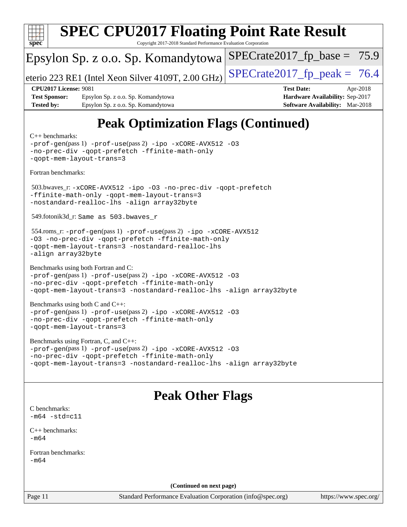

[Benchmarks using both C and C++](http://www.spec.org/auto/cpu2017/Docs/result-fields.html#BenchmarksusingbothCandCXX): [-prof-gen](http://www.spec.org/cpu2017/results/res2018q2/cpu2017-20180416-04919.flags.html#user_CC_CXXpeak_prof_gen_5aa4926d6013ddb2a31985c654b3eb18169fc0c6952a63635c234f711e6e63dd76e94ad52365559451ec499a2cdb89e4dc58ba4c67ef54ca681ffbe1461d6b36)(pass 1) [-prof-use](http://www.spec.org/cpu2017/results/res2018q2/cpu2017-20180416-04919.flags.html#user_CC_CXXpeak_prof_use_1a21ceae95f36a2b53c25747139a6c16ca95bd9def2a207b4f0849963b97e94f5260e30a0c64f4bb623698870e679ca08317ef8150905d41bd88c6f78df73f19)(pass 2) [-ipo](http://www.spec.org/cpu2017/results/res2018q2/cpu2017-20180416-04919.flags.html#user_CC_CXXpeak_f-ipo) [-xCORE-AVX512](http://www.spec.org/cpu2017/results/res2018q2/cpu2017-20180416-04919.flags.html#user_CC_CXXpeak_f-xCORE-AVX512) [-O3](http://www.spec.org/cpu2017/results/res2018q2/cpu2017-20180416-04919.flags.html#user_CC_CXXpeak_f-O3) [-no-prec-div](http://www.spec.org/cpu2017/results/res2018q2/cpu2017-20180416-04919.flags.html#user_CC_CXXpeak_f-no-prec-div) [-qopt-prefetch](http://www.spec.org/cpu2017/results/res2018q2/cpu2017-20180416-04919.flags.html#user_CC_CXXpeak_f-qopt-prefetch) [-ffinite-math-only](http://www.spec.org/cpu2017/results/res2018q2/cpu2017-20180416-04919.flags.html#user_CC_CXXpeak_f_finite_math_only_cb91587bd2077682c4b38af759c288ed7c732db004271a9512da14a4f8007909a5f1427ecbf1a0fb78ff2a814402c6114ac565ca162485bbcae155b5e4258871) [-qopt-mem-layout-trans=3](http://www.spec.org/cpu2017/results/res2018q2/cpu2017-20180416-04919.flags.html#user_CC_CXXpeak_f-qopt-mem-layout-trans_de80db37974c74b1f0e20d883f0b675c88c3b01e9d123adea9b28688d64333345fb62bc4a798493513fdb68f60282f9a726aa07f478b2f7113531aecce732043)

[Benchmarks using Fortran, C, and C++:](http://www.spec.org/auto/cpu2017/Docs/result-fields.html#BenchmarksusingFortranCandCXX) [-prof-gen](http://www.spec.org/cpu2017/results/res2018q2/cpu2017-20180416-04919.flags.html#user_CC_CXX_FCpeak_prof_gen_5aa4926d6013ddb2a31985c654b3eb18169fc0c6952a63635c234f711e6e63dd76e94ad52365559451ec499a2cdb89e4dc58ba4c67ef54ca681ffbe1461d6b36)(pass 1) [-prof-use](http://www.spec.org/cpu2017/results/res2018q2/cpu2017-20180416-04919.flags.html#user_CC_CXX_FCpeak_prof_use_1a21ceae95f36a2b53c25747139a6c16ca95bd9def2a207b4f0849963b97e94f5260e30a0c64f4bb623698870e679ca08317ef8150905d41bd88c6f78df73f19)(pass 2) [-ipo](http://www.spec.org/cpu2017/results/res2018q2/cpu2017-20180416-04919.flags.html#user_CC_CXX_FCpeak_f-ipo) [-xCORE-AVX512](http://www.spec.org/cpu2017/results/res2018q2/cpu2017-20180416-04919.flags.html#user_CC_CXX_FCpeak_f-xCORE-AVX512) [-O3](http://www.spec.org/cpu2017/results/res2018q2/cpu2017-20180416-04919.flags.html#user_CC_CXX_FCpeak_f-O3) [-no-prec-div](http://www.spec.org/cpu2017/results/res2018q2/cpu2017-20180416-04919.flags.html#user_CC_CXX_FCpeak_f-no-prec-div) [-qopt-prefetch](http://www.spec.org/cpu2017/results/res2018q2/cpu2017-20180416-04919.flags.html#user_CC_CXX_FCpeak_f-qopt-prefetch) [-ffinite-math-only](http://www.spec.org/cpu2017/results/res2018q2/cpu2017-20180416-04919.flags.html#user_CC_CXX_FCpeak_f_finite_math_only_cb91587bd2077682c4b38af759c288ed7c732db004271a9512da14a4f8007909a5f1427ecbf1a0fb78ff2a814402c6114ac565ca162485bbcae155b5e4258871) [-qopt-mem-layout-trans=3](http://www.spec.org/cpu2017/results/res2018q2/cpu2017-20180416-04919.flags.html#user_CC_CXX_FCpeak_f-qopt-mem-layout-trans_de80db37974c74b1f0e20d883f0b675c88c3b01e9d123adea9b28688d64333345fb62bc4a798493513fdb68f60282f9a726aa07f478b2f7113531aecce732043) [-nostandard-realloc-lhs](http://www.spec.org/cpu2017/results/res2018q2/cpu2017-20180416-04919.flags.html#user_CC_CXX_FCpeak_f_2003_std_realloc_82b4557e90729c0f113870c07e44d33d6f5a304b4f63d4c15d2d0f1fab99f5daaed73bdb9275d9ae411527f28b936061aa8b9c8f2d63842963b95c9dd6426b8a) [-align array32byte](http://www.spec.org/cpu2017/results/res2018q2/cpu2017-20180416-04919.flags.html#user_CC_CXX_FCpeak_align_array32byte_b982fe038af199962ba9a80c053b8342c548c85b40b8e86eb3cc33dee0d7986a4af373ac2d51c3f7cf710a18d62fdce2948f201cd044323541f22fc0fffc51b6)

### **[Peak Other Flags](http://www.spec.org/auto/cpu2017/Docs/result-fields.html#PeakOtherFlags)**

[C benchmarks](http://www.spec.org/auto/cpu2017/Docs/result-fields.html#Cbenchmarks):  $-m64$   $-std=cl1$ 

[C++ benchmarks:](http://www.spec.org/auto/cpu2017/Docs/result-fields.html#CXXbenchmarks) [-m64](http://www.spec.org/cpu2017/results/res2018q2/cpu2017-20180416-04919.flags.html#user_CXXpeak_intel_intel64_18.0_af43caccfc8ded86e7699f2159af6efc7655f51387b94da716254467f3c01020a5059329e2569e4053f409e7c9202a7efc638f7a6d1ffb3f52dea4a3e31d82ab)

[Fortran benchmarks](http://www.spec.org/auto/cpu2017/Docs/result-fields.html#Fortranbenchmarks): [-m64](http://www.spec.org/cpu2017/results/res2018q2/cpu2017-20180416-04919.flags.html#user_FCpeak_intel_intel64_18.0_af43caccfc8ded86e7699f2159af6efc7655f51387b94da716254467f3c01020a5059329e2569e4053f409e7c9202a7efc638f7a6d1ffb3f52dea4a3e31d82ab)

**(Continued on next page)**

Page 11 Standard Performance Evaluation Corporation [\(info@spec.org\)](mailto:info@spec.org) <https://www.spec.org/>